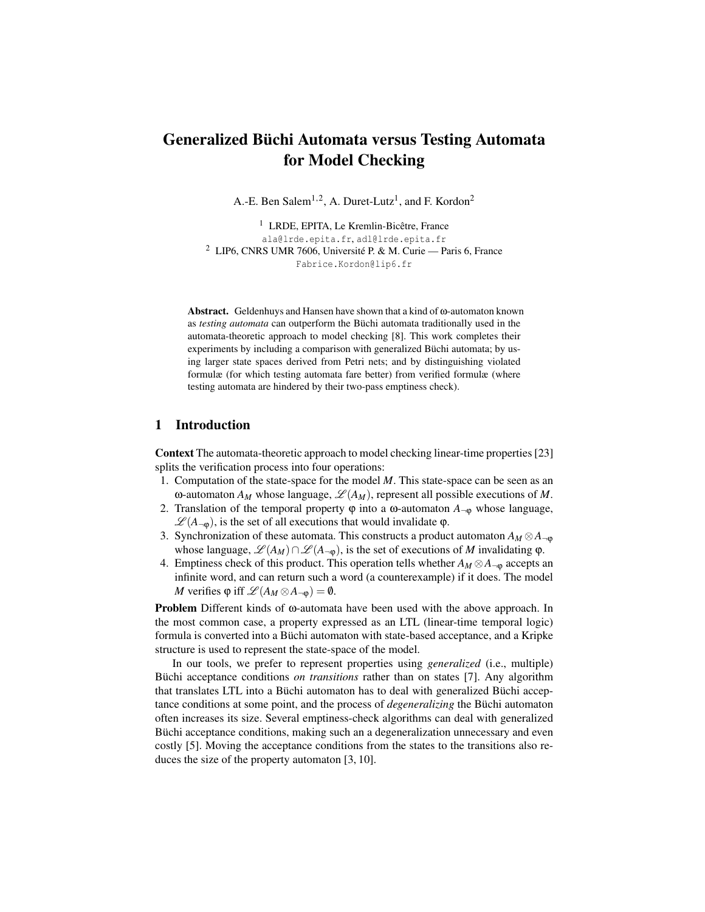# Generalized Büchi Automata versus Testing Automata for Model Checking

A.-E. Ben Salem<sup>1,2</sup>, A. Duret-Lutz<sup>1</sup>, and F. Kordon<sup>2</sup>

<sup>1</sup> LRDE, EPITA, Le Kremlin-Bicêtre, France ala@lrde.epita.fr, adl@lrde.epita.fr <sup>2</sup> LIP6, CNRS UMR 7606, Université P. & M. Curie — Paris 6, France Fabrice.Kordon@lip6.fr

Abstract. Geldenhuys and Hansen have shown that a kind of ω-automaton known as *testing automata* can outperform the Büchi automata traditionally used in the automata-theoretic approach to model checking [8]. This work completes their experiments by including a comparison with generalized Büchi automata; by using larger state spaces derived from Petri nets; and by distinguishing violated formulæ (for which testing automata fare better) from verified formulæ (where testing automata are hindered by their two-pass emptiness check).

## 1 Introduction

Context The automata-theoretic approach to model checking linear-time properties [23] splits the verification process into four operations:

- 1. Computation of the state-space for the model *M*. This state-space can be seen as an ω-automaton  $A_M$  whose language,  $\mathcal{L}(A_M)$ , represent all possible executions of *M*.
- 2. Translation of the temporal property  $φ$  into a ω-automaton  $A_{\neg \phi}$  whose language,  $\mathscr{L}(A_{\neg\phi})$ , is the set of all executions that would invalidate  $\varphi$ .
- 3. Synchronization of these automata. This constructs a product automaton  $A_M \otimes A_{\neg \phi}$ whose language,  $\mathcal{L}(A_M) \cap \mathcal{L}(A_{\neg \phi})$ , is the set of executions of *M* invalidating  $\varphi$ .
- 4. Emptiness check of this product. This operation tells whether  $A_M \otimes A_{\neg \phi}$  accepts an infinite word, and can return such a word (a counterexample) if it does. The model *M* verifies  $\varphi$  iff  $\mathscr{L}(A_M \otimes A_{\neg \varphi}) = \varnothing$ .

Problem Different kinds of ω-automata have been used with the above approach. In the most common case, a property expressed as an LTL (linear-time temporal logic) formula is converted into a Büchi automaton with state-based acceptance, and a Kripke structure is used to represent the state-space of the model.

In our tools, we prefer to represent properties using *generalized* (i.e., multiple) Büchi acceptance conditions *on transitions* rather than on states [7]. Any algorithm that translates LTL into a Büchi automaton has to deal with generalized Büchi acceptance conditions at some point, and the process of *degeneralizing* the Büchi automaton often increases its size. Several emptiness-check algorithms can deal with generalized Büchi acceptance conditions, making such an a degeneralization unnecessary and even costly [5]. Moving the acceptance conditions from the states to the transitions also reduces the size of the property automaton [3, 10].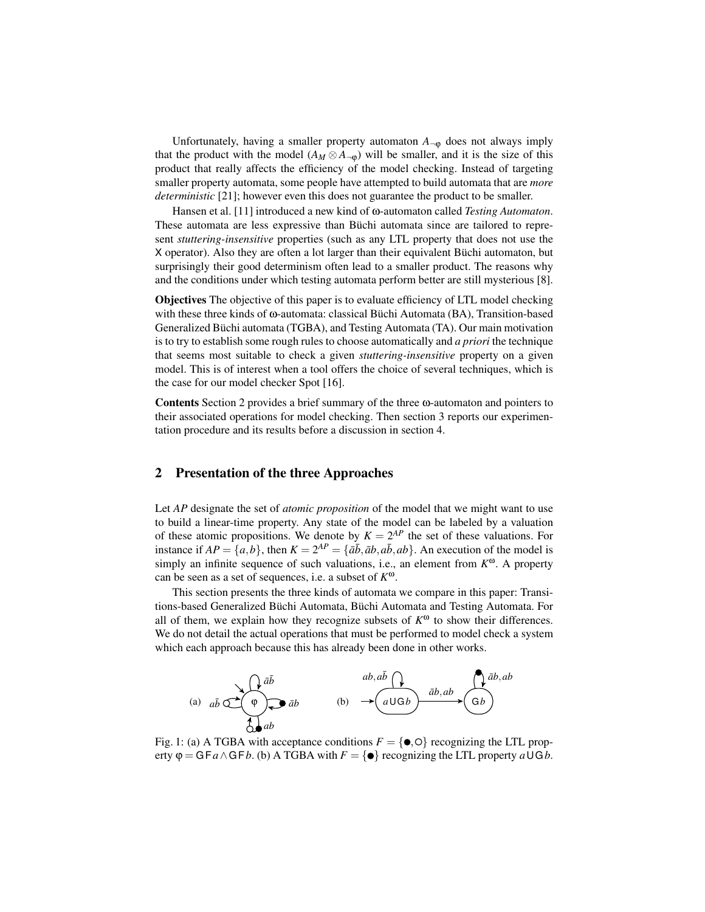Unfortunately, having a smaller property automaton  $A_{\neg \phi}$  does not always imply that the product with the model  $(A_M \otimes A_{\neg \phi})$  will be smaller, and it is the size of this product that really affects the efficiency of the model checking. Instead of targeting smaller property automata, some people have attempted to build automata that are *more deterministic* [21]; however even this does not guarantee the product to be smaller.

Hansen et al. [11] introduced a new kind of ω-automaton called *Testing Automaton*. These automata are less expressive than Büchi automata since are tailored to represent *stuttering-insensitive* properties (such as any LTL property that does not use the X operator). Also they are often a lot larger than their equivalent Büchi automaton, but surprisingly their good determinism often lead to a smaller product. The reasons why and the conditions under which testing automata perform better are still mysterious [8].

Objectives The objective of this paper is to evaluate efficiency of LTL model checking with these three kinds of ω-automata: classical Büchi Automata (BA), Transition-based Generalized Büchi automata (TGBA), and Testing Automata (TA). Our main motivation is to try to establish some rough rules to choose automatically and *a priori* the technique that seems most suitable to check a given *stuttering-insensitive* property on a given model. This is of interest when a tool offers the choice of several techniques, which is the case for our model checker Spot [16].

Contents Section 2 provides a brief summary of the three ω-automaton and pointers to their associated operations for model checking. Then section 3 reports our experimentation procedure and its results before a discussion in section 4.

## 2 Presentation of the three Approaches

Let *AP* designate the set of *atomic proposition* of the model that we might want to use to build a linear-time property. Any state of the model can be labeled by a valuation of these atomic propositions. We denote by  $K = 2^{AP}$  the set of these valuations. For instance if  $AP = \{a, b\}$ , then  $K = 2^{AP} = \{\bar{a}\bar{b}, \bar{a}b, \bar{a}b, \bar{a}b\}$ . An execution of the model is simply an infinite sequence of such valuations, i.e., an element from *K* <sup>ω</sup>. A property can be seen as a set of sequences, i.e. a subset of *K* ω.

This section presents the three kinds of automata we compare in this paper: Transitions-based Generalized Büchi Automata, Büchi Automata and Testing Automata. For all of them, we explain how they recognize subsets of  $K^{\omega}$  to show their differences. We do not detail the actual operations that must be performed to model check a system which each approach because this has already been done in other works.



Fig. 1: (a) A TGBA with acceptance conditions  $F = \{ \bullet, \circ \}$  recognizing the LTL property  $\varphi = G F a \wedge G F b$ . (b) A TGBA with  $F = \{\circ\}$  recognizing the LTL property  $a \cup G b$ .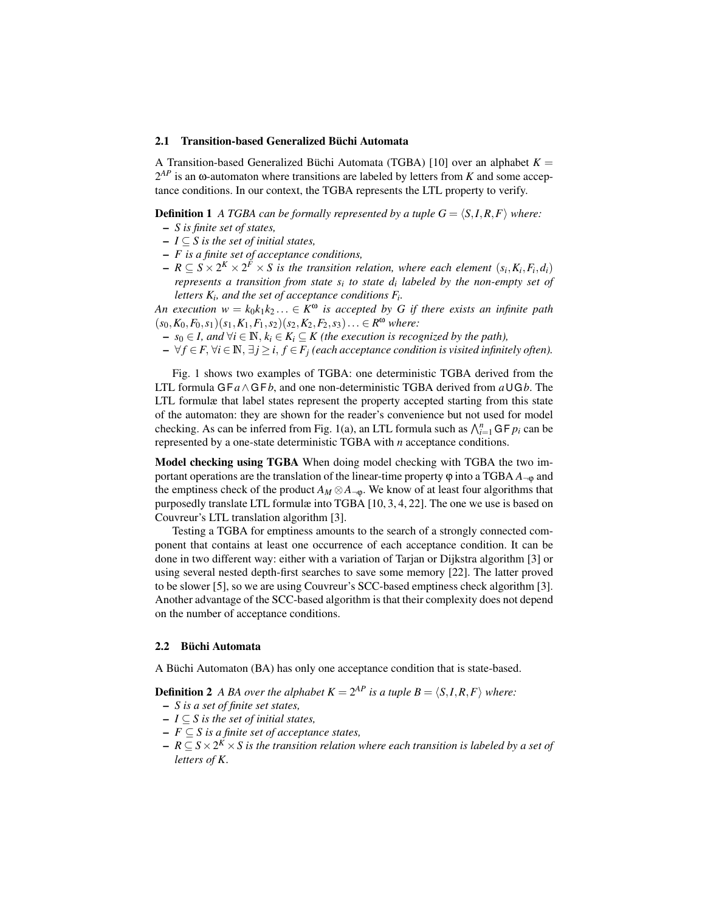#### 2.1 Transition-based Generalized Büchi Automata

A Transition-based Generalized Büchi Automata (TGBA) [10] over an alphabet  $K =$ 2 *AP* is an ω-automaton where transitions are labeled by letters from *K* and some acceptance conditions. In our context, the TGBA represents the LTL property to verify.

**Definition 1** *A TGBA can be formally represented by a tuple*  $G = \langle S, I, R, F \rangle$  *where:* 

- *S is finite set of states,*
- *I* ⊆ *S is the set of initial states,*
- *F is a finite set of acceptance conditions,*
- $-R \subseteq S \times 2^K \times 2^F \times S$  is the transition relation, where each element  $(s_i, K_i, F_i, d_i)$ *represents a transition from state s<sup>i</sup> to state d<sup>i</sup> labeled by the non-empty set of letters K<sup>i</sup> , and the set of acceptance conditions F<sup>i</sup> .*

*An execution*  $w = k_0 k_1 k_2 ... \in K^{\omega}$  is accepted by G if there exists an infinite path  $(s_0, K_0, F_0, s_1)(s_1, K_1, F_1, s_2)(s_2, K_2, F_2, s_3)\ldots \in R^{\omega}$  where:

- $-$  *s*<sub>0</sub> ∈ *I*, and  $\forall i$  ∈ **N**,  $k_i$  ∈  $K_i$  ⊆  $K$  (the execution is recognized by the path),
- $\forall f \in F, \forall i \in \mathbb{N}, \exists j \ge i, f \in F_j$  (each acceptance condition is visited infinitely often).

Fig. 1 shows two examples of TGBA: one deterministic TGBA derived from the LTL formula G F*a*∧ G F*b*, and one non-deterministic TGBA derived from *a*UG*b*. The LTL formulæ that label states represent the property accepted starting from this state of the automaton: they are shown for the reader's convenience but not used for model checking. As can be inferred from Fig. 1(a), an LTL formula such as  $\bigwedge_{i=1}^{n} G F p_i$  can be represented by a one-state deterministic TGBA with *n* acceptance conditions.

Model checking using TGBA When doing model checking with TGBA the two important operations are the translation of the linear-time property  $\varphi$  into a TGBA  $A_{\neg \varphi}$  and the emptiness check of the product  $A_M \otimes A_{\neg \phi}$ . We know of at least four algorithms that purposedly translate LTL formulæ into TGBA [10, 3, 4, 22]. The one we use is based on Couvreur's LTL translation algorithm [3].

Testing a TGBA for emptiness amounts to the search of a strongly connected component that contains at least one occurrence of each acceptance condition. It can be done in two different way: either with a variation of Tarjan or Dijkstra algorithm [3] or using several nested depth-first searches to save some memory [22]. The latter proved to be slower [5], so we are using Couvreur's SCC-based emptiness check algorithm [3]. Another advantage of the SCC-based algorithm is that their complexity does not depend on the number of acceptance conditions.

#### 2.2 Büchi Automata

A Büchi Automaton (BA) has only one acceptance condition that is state-based.

**Definition 2** A BA over the alphabet  $K = 2^{AP}$  is a tuple  $B = \langle S, I, R, F \rangle$  where:

- *S is a set of finite set states,*
- *I* ⊆ *S is the set of initial states,*
- *F* ⊆ *S is a finite set of acceptance states,*
- *R* ⊆ *S*×2 *<sup>K</sup>* ×*S is the transition relation where each transition is labeled by a set of letters of K.*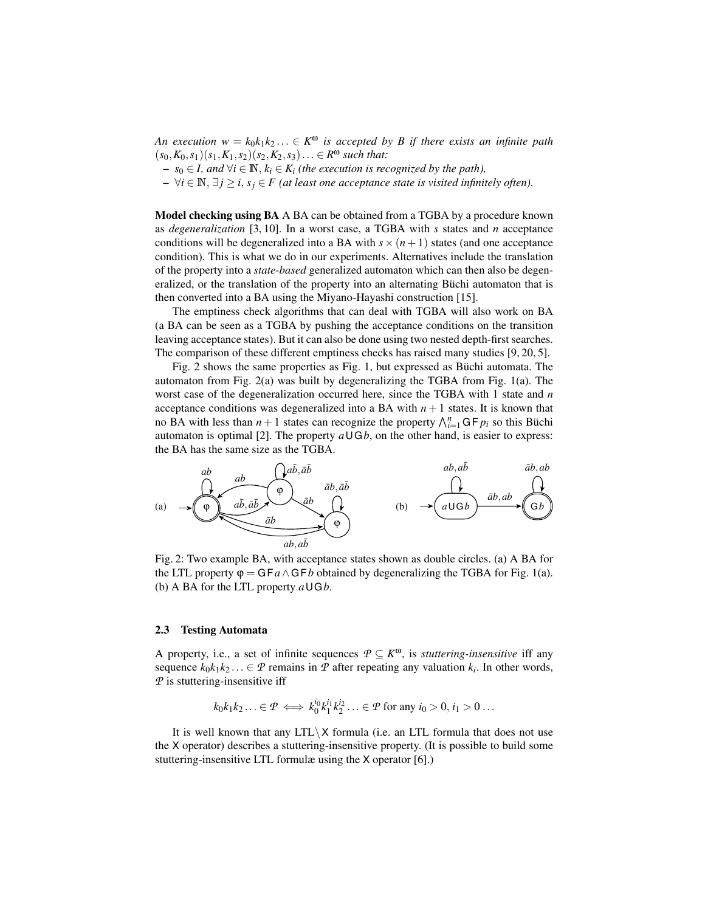*An execution*  $w = k_0 k_1 k_2 ... \in K^{\omega}$  is accepted by B if there exists an infinite path  $(s_0, K_0, s_1)(s_1, K_1, s_2)(s_2, K_2, s_3) \ldots \in R^{\omega}$  *such that:* 

- $-$  *s*<sub>0</sub> ∈ *I*, and  $\forall i$  ∈  $\mathbb{N}, k_i$  ∈  $K_i$  (the execution is recognized by the path),
- $-$  ∀*i* ∈  $\mathbb{N}, \exists j \ge i, s_j \in F$  (at least one acceptance state is visited infinitely often).

Model checking using BA A BA can be obtained from a TGBA by a procedure known as *degeneralization* [3, 10]. In a worst case, a TGBA with *s* states and *n* acceptance conditions will be degeneralized into a BA with  $s \times (n+1)$  states (and one acceptance condition). This is what we do in our experiments. Alternatives include the translation of the property into a *state-based* generalized automaton which can then also be degeneralized, or the translation of the property into an alternating Büchi automaton that is then converted into a BA using the Miyano-Hayashi construction [15].

The emptiness check algorithms that can deal with TGBA will also work on BA (a BA can be seen as a TGBA by pushing the acceptance conditions on the transition leaving acceptance states). But it can also be done using two nested depth-first searches. The comparison of these different emptiness checks has raised many studies [9, 20, 5].

Fig. 2 shows the same properties as Fig. 1, but expressed as Büchi automata. The automaton from Fig. 2(a) was built by degeneralizing the TGBA from Fig. 1(a). The worst case of the degeneralization occurred here, since the TGBA with 1 state and *n* acceptance conditions was degeneralized into a BA with  $n + 1$  states. It is known that no BA with less than  $n+1$  states can recognize the property  $\bigwedge_{i=1}^{n} GF p_i$  so this Büchi automaton is optimal [2]. The property  $a \cup Gb$ , on the other hand, is easier to express: the BA has the same size as the TGBA.



Fig. 2: Two example BA, with acceptance states shown as double circles. (a) A BA for the LTL property  $\varphi = GFa \wedge GFb$  obtained by degeneralizing the TGBA for Fig. 1(a). (b) A BA for the LTL property *a*UG*b*.

#### 2.3 Testing Automata

A property, i.e., a set of infinite sequences  $P \subseteq K^{\omega}$ , is *stuttering-insensitive* iff any sequence  $k_0k_1k_2... \in \mathcal{P}$  remains in  $\mathcal P$  after repeating any valuation  $k_i$ . In other words, *P* is stuttering-insensitive iff

$$
k_0k_1k_2\ldots\in\mathcal{P}\iff k_0^{i_0}k_1^{i_1}k_2^{i_2}\ldots\in\mathcal{P}\text{ for any }i_0>0,i_1>0\ldots
$$

It is well known that any  $LTL\ X$  formula (i.e. an LTL formula that does not use the X operator) describes a stuttering-insensitive property. (It is possible to build some stuttering-insensitive LTL formulæ using the X operator [6].)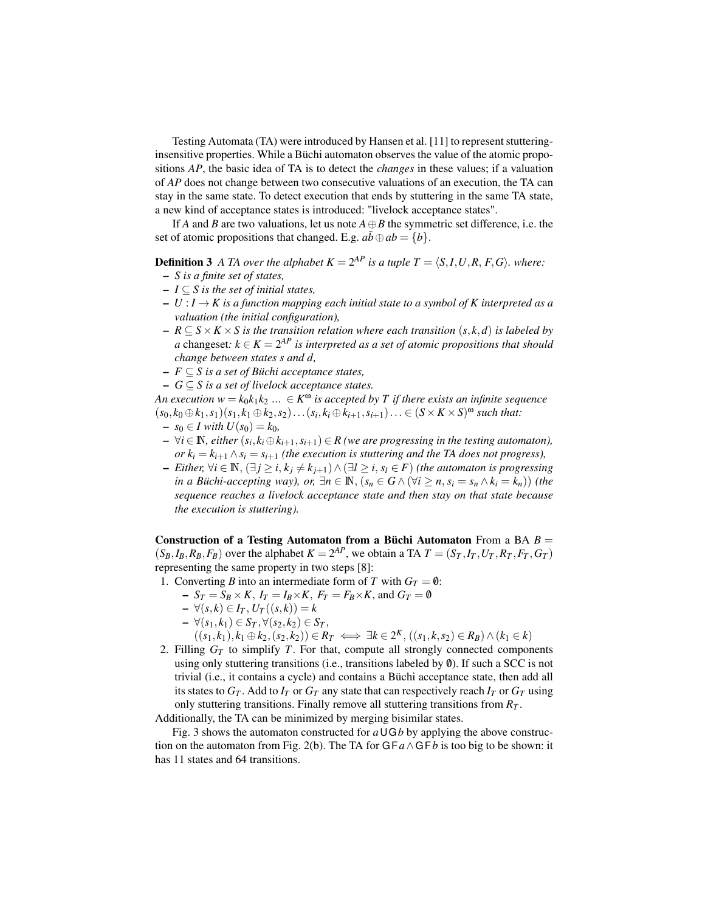Testing Automata (TA) were introduced by Hansen et al. [11] to represent stutteringinsensitive properties. While a Büchi automaton observes the value of the atomic propositions *AP*, the basic idea of TA is to detect the *changes* in these values; if a valuation of *AP* does not change between two consecutive valuations of an execution, the TA can stay in the same state. To detect execution that ends by stuttering in the same TA state, a new kind of acceptance states is introduced: "livelock acceptance states".

If *A* and *B* are two valuations, let us note  $A \oplus B$  the symmetric set difference, i.e. the set of atomic propositions that changed. E.g.  $a\overline{b} \oplus ab = \{b\}$ .

**Definition 3** A TA over the alphabet  $K = 2^{AP}$  is a tuple  $T = \langle S, I, U, R, F, G \rangle$ *. where:* 

- *S is a finite set of states,*
- *I* ⊆ *S is the set of initial states,*
- $U : I \to K$  is a function mapping each initial state to a symbol of K interpreted as a *valuation (the initial configuration),*
- *R* ⊆ *S*×*K* ×*S is the transition relation where each transition* (*s*, *k*,*d*) *is labeled by a* changeset:  $k \in K = 2^{AP}$  *is interpreted as a set of atomic propositions that should change between states s and d,*
- *F* ⊆ *S is a set of Büchi acceptance states,*
- *G* ⊆ *S is a set of livelock acceptance states.*

*An execution*  $w = k_0 k_1 k_2 ... \in K^{\omega}$  *is accepted by T if there exists an infinite sequence*  $(s_0, k_0 \oplus k_1, s_1)(s_1, k_1 \oplus k_2, s_2) \ldots (s_i, k_i \oplus k_{i+1}, s_{i+1}) \ldots \in (S \times K \times S)^{\omega}$  such that:

- −  $s_0 \in I$  *with*  $U(s_0) = k_0$ ,
- $\forall i \in \mathbb{N}$ , either  $(s_i, k_i \oplus k_{i+1}, s_{i+1}) \in R$  (we are progressing in the testing automaton), *or*  $k_i = k_{i+1} \wedge s_i = s_{i+1}$  (the execution is stuttering and the TA does not progress),
- $-I$   *Either,*  $\forall i \in \mathbb{N}, (\exists j \ge i, k_j \ne k_{j+1}) \land (\exists l \ge i, s_l \in F)$  *(the automaton is progressing in a Büchi-accepting way), or,* ∃*n* ∈  $\mathbb{N}$ ,  $(s_n \in G \land (\forall i \geq n, s_i = s_n \land k_i = k_n))$  (the *sequence reaches a livelock acceptance state and then stay on that state because the execution is stuttering).*

Construction of a Testing Automaton from a Büchi Automaton From a BA *B* =  $(S_B, I_B, R_B, F_B)$  over the alphabet  $K = 2^{AP}$ , we obtain a TA  $T = (S_T, I_T, U_T, R_T, F_T, G_T)$ representing the same property in two steps [8]:

- 1. Converting *B* into an intermediate form of *T* with  $G_T = \emptyset$ :
	- $-S_T = S_B \times K$ ,  $I_T = I_B \times K$ ,  $F_T = F_B \times K$ , and  $G_T = \emptyset$
	- ∀(*s*, *k*) ∈ *I<sup>T</sup>* , *U<sup>T</sup>* ((*s*, *k*)) = *k*
	- ∀(*s*1, *k*1) ∈ *S<sup>T</sup>* ,∀(*s*2, *k*2) ∈ *S<sup>T</sup>* ,
		- $((s_1, k_1), k_1 \oplus k_2, (s_2, k_2)) \in R_T \iff \exists k \in 2^K, ((s_1, k, s_2) \in R_B) \land (k_1 \in k)$
- 2. Filling  $G_T$  to simplify *T*. For that, compute all strongly connected components using only stuttering transitions (i.e., transitions labeled by  $\emptyset$ ). If such a SCC is not trivial (i.e., it contains a cycle) and contains a Büchi acceptance state, then add all its states to  $G_T$ . Add to  $I_T$  or  $G_T$  any state that can respectively reach  $I_T$  or  $G_T$  using only stuttering transitions. Finally remove all stuttering transitions from *R<sup>T</sup>* .

Additionally, the TA can be minimized by merging bisimilar states.

Fig. 3 shows the automaton constructed for  $a \cup Gb$  by applying the above construction on the automaton from Fig. 2(b). The TA for  $GFA \wedge GFB$  is too big to be shown: it has 11 states and 64 transitions.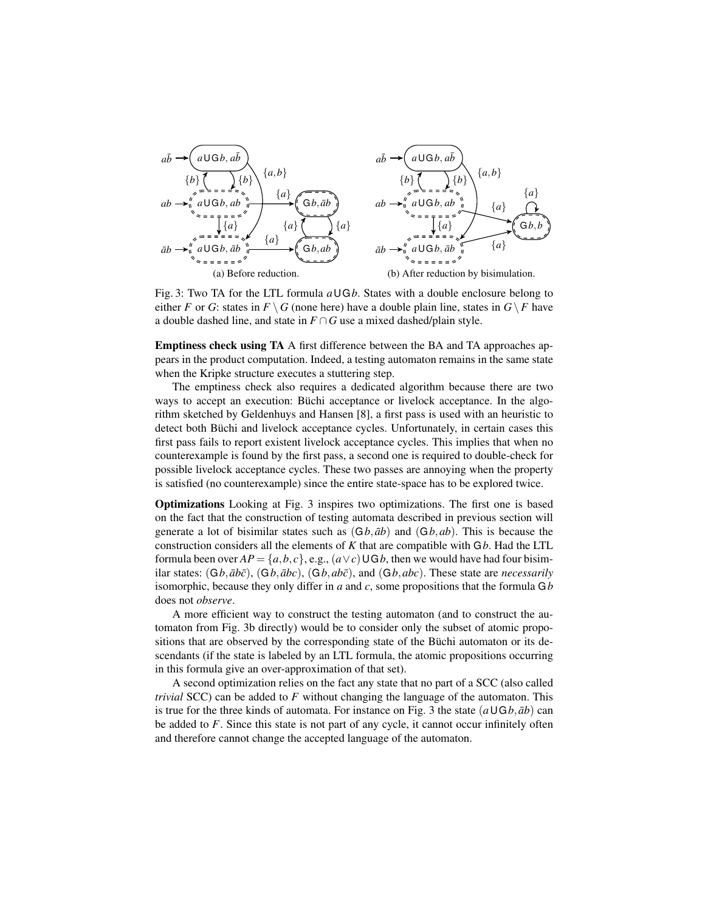

Fig. 3: Two TA for the LTL formula *a*UG*b*. States with a double enclosure belong to either *F* or *G*: states in  $F \setminus G$  (none here) have a double plain line, states in  $G \setminus F$  have a double dashed line, and state in  $F \cap G$  use a mixed dashed/plain style.

Emptiness check using TA A first difference between the BA and TA approaches appears in the product computation. Indeed, a testing automaton remains in the same state when the Kripke structure executes a stuttering step.

The emptiness check also requires a dedicated algorithm because there are two ways to accept an execution: Büchi acceptance or livelock acceptance. In the algorithm sketched by Geldenhuys and Hansen [8], a first pass is used with an heuristic to detect both Büchi and livelock acceptance cycles. Unfortunately, in certain cases this first pass fails to report existent livelock acceptance cycles. This implies that when no counterexample is found by the first pass, a second one is required to double-check for possible livelock acceptance cycles. These two passes are annoying when the property is satisfied (no counterexample) since the entire state-space has to be explored twice.

Optimizations Looking at Fig. 3 inspires two optimizations. The first one is based on the fact that the construction of testing automata described in previous section will generate a lot of bisimilar states such as  $(Gb, \bar{a}b)$  and  $(Gb, ab)$ . This is because the construction considers all the elements of *K* that are compatible with G*b*. Had the LTL formula been over  $AP = \{a, b, c\}$ , e.g.,  $(a \vee c) \cup Gb$ , then we would have had four bisimilar states:  $(Gb, \bar{a}b\bar{c})$ ,  $(Gb, \bar{a}bc)$ ,  $(Gb, \bar{a}b\bar{c})$ , and  $(Gb, \bar{a}bc)$ . These state are *necessarily* isomorphic, because they only differ in *a* and *c*, some propositions that the formula G*b* does not *observe*.

A more efficient way to construct the testing automaton (and to construct the automaton from Fig. 3b directly) would be to consider only the subset of atomic propositions that are observed by the corresponding state of the Büchi automaton or its descendants (if the state is labeled by an LTL formula, the atomic propositions occurring in this formula give an over-approximation of that set).

A second optimization relies on the fact any state that no part of a SCC (also called *trivial* SCC) can be added to *F* without changing the language of the automaton. This is true for the three kinds of automata. For instance on Fig. 3 the state  $(a\cup Gb, \bar{a}b)$  can be added to *F*. Since this state is not part of any cycle, it cannot occur infinitely often and therefore cannot change the accepted language of the automaton.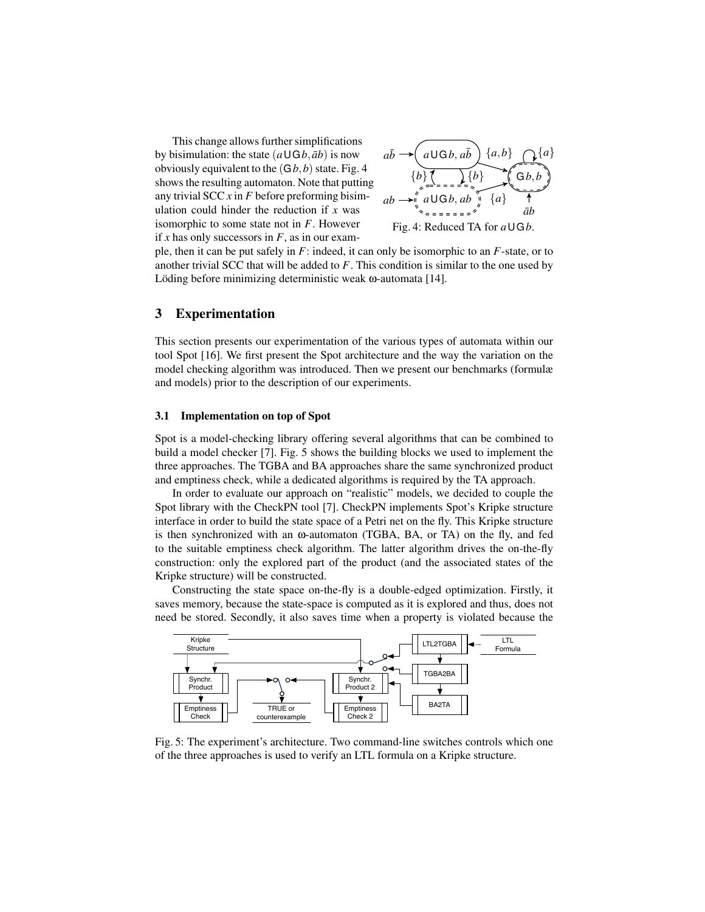This change allows further simplifications by bisimulation: the state  $(a\cup Gb, \bar{a}b)$  is now obviously equivalent to the  $(Gb, b)$  state. Fig. 4 shows the resulting automaton. Note that putting any trivial SCC *x* in *F* before preforming bisimulation could hinder the reduction if *x* was isomorphic to some state not in *F*. However if *x* has only successors in  $F$ , as in our exam-



ple, then it can be put safely in *F*: indeed, it can only be isomorphic to an *F*-state, or to another trivial SCC that will be added to *F*. This condition is similar to the one used by Löding before minimizing deterministic weak ω-automata [14].

## 3 Experimentation

This section presents our experimentation of the various types of automata within our tool Spot [16]. We first present the Spot architecture and the way the variation on the model checking algorithm was introduced. Then we present our benchmarks (formulæ and models) prior to the description of our experiments.

#### 3.1 Implementation on top of Spot

Spot is a model-checking library offering several algorithms that can be combined to build a model checker [7]. Fig. 5 shows the building blocks we used to implement the three approaches. The TGBA and BA approaches share the same synchronized product and emptiness check, while a dedicated algorithms is required by the TA approach.

In order to evaluate our approach on "realistic" models, we decided to couple the Spot library with the CheckPN tool [7]. CheckPN implements Spot's Kripke structure interface in order to build the state space of a Petri net on the fly. This Kripke structure is then synchronized with an ω-automaton (TGBA, BA, or TA) on the fly, and fed to the suitable emptiness check algorithm. The latter algorithm drives the on-the-fly construction: only the explored part of the product (and the associated states of the Kripke structure) will be constructed.

Constructing the state space on-the-fly is a double-edged optimization. Firstly, it saves memory, because the state-space is computed as it is explored and thus, does not need be stored. Secondly, it also saves time when a property is violated because the



Fig. 5: The experiment's architecture. Two command-line switches controls which one of the three approaches is used to verify an LTL formula on a Kripke structure.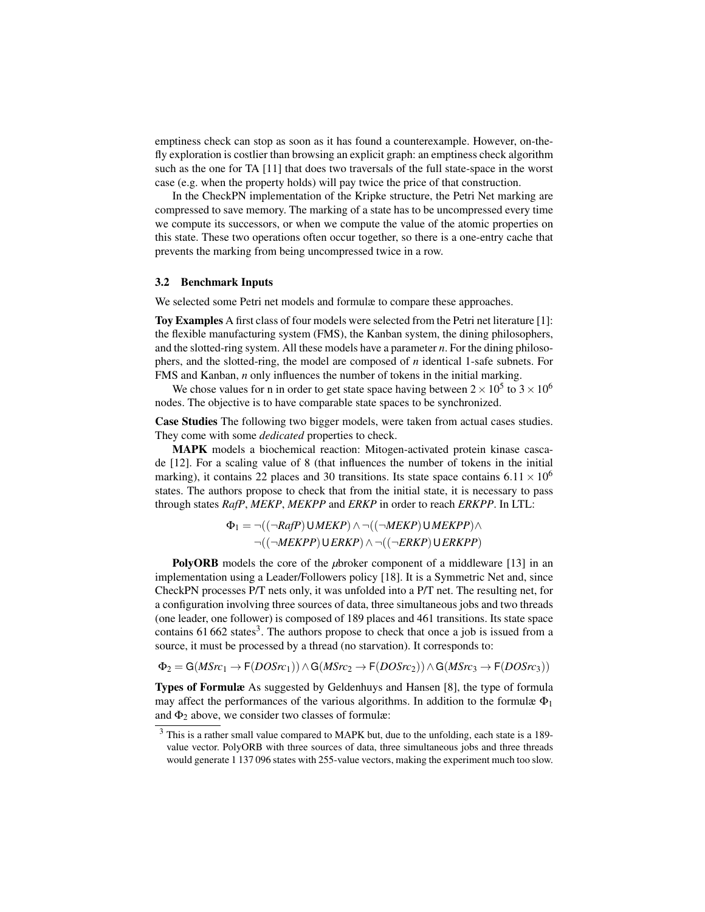emptiness check can stop as soon as it has found a counterexample. However, on-thefly exploration is costlier than browsing an explicit graph: an emptiness check algorithm such as the one for TA [11] that does two traversals of the full state-space in the worst case (e.g. when the property holds) will pay twice the price of that construction.

In the CheckPN implementation of the Kripke structure, the Petri Net marking are compressed to save memory. The marking of a state has to be uncompressed every time we compute its successors, or when we compute the value of the atomic properties on this state. These two operations often occur together, so there is a one-entry cache that prevents the marking from being uncompressed twice in a row.

#### 3.2 Benchmark Inputs

We selected some Petri net models and formulæ to compare these approaches.

Toy Examples A first class of four models were selected from the Petri net literature [1]: the flexible manufacturing system (FMS), the Kanban system, the dining philosophers, and the slotted-ring system. All these models have a parameter *n*. For the dining philosophers, and the slotted-ring, the model are composed of *n* identical 1-safe subnets. For FMS and Kanban, *n* only influences the number of tokens in the initial marking.

We chose values for n in order to get state space having between  $2 \times 10^5$  to  $3 \times 10^6$ nodes. The objective is to have comparable state spaces to be synchronized.

Case Studies The following two bigger models, were taken from actual cases studies. They come with some *dedicated* properties to check.

MAPK models a biochemical reaction: Mitogen-activated protein kinase cascade [12]. For a scaling value of 8 (that influences the number of tokens in the initial marking), it contains 22 places and 30 transitions. Its state space contains  $6.11 \times 10^6$ states. The authors propose to check that from the initial state, it is necessary to pass through states *RafP*, *MEKP*, *MEKPP* and *ERKP* in order to reach *ERKPP*. In LTL:

> $\Phi_1 = \neg((\neg RafP) \cup MEKP) \land \neg((\neg MEKP) \cup MEKPP) \land$ ¬((¬*MEKPP*)U*ERKP*)∧ ¬((¬*ERKP*)U*ERKPP*)

PolyORB models the core of the *µ*broker component of a middleware [13] in an implementation using a Leader/Followers policy [18]. It is a Symmetric Net and, since CheckPN processes P/T nets only, it was unfolded into a P/T net. The resulting net, for a configuration involving three sources of data, three simultaneous jobs and two threads (one leader, one follower) is composed of 189 places and 461 transitions. Its state space contains  $61 662$  states<sup>3</sup>. The authors propose to check that once a job is issued from a source, it must be processed by a thread (no starvation). It corresponds to:

 $\Phi_2 = G(MSrc_1 → F(DOSrc_1)) ∧ G(MSrc_2 → F(DOSrc_2)) ∧ G(MSrc_3 → F(DOSrc_3))$ 

Types of Formulæ As suggested by Geldenhuys and Hansen [8], the type of formula may affect the performances of the various algorithms. In addition to the formulæ  $\Phi_1$ and  $\Phi_2$  above, we consider two classes of formulæ:

<sup>3</sup> This is a rather small value compared to MAPK but, due to the unfolding, each state is a 189 value vector. PolyORB with three sources of data, three simultaneous jobs and three threads would generate 1 137 096 states with 255-value vectors, making the experiment much too slow.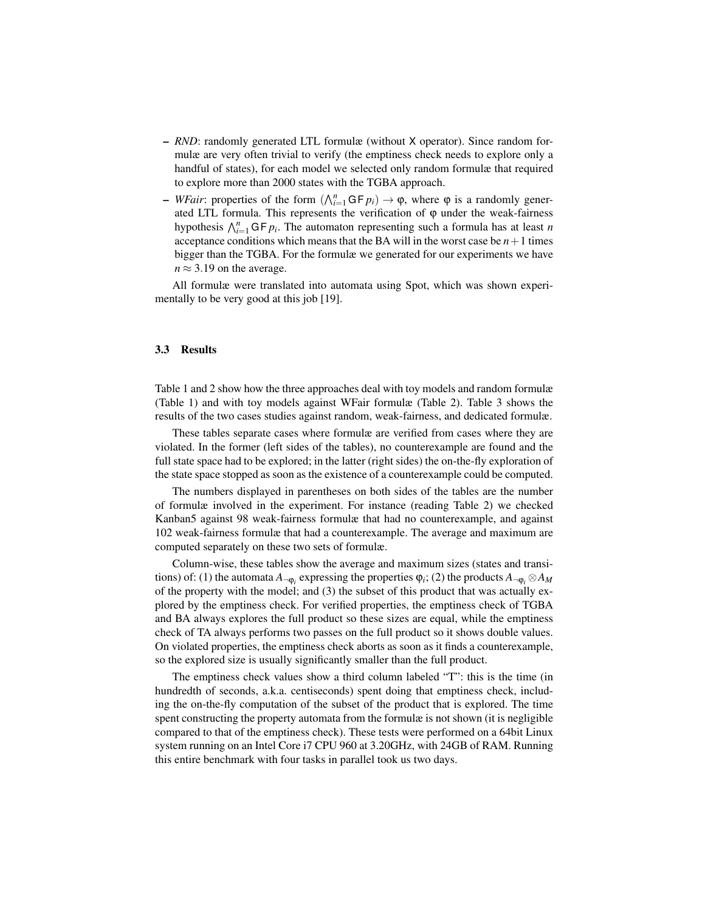- *RND*: randomly generated LTL formulæ (without X operator). Since random formulæ are very often trivial to verify (the emptiness check needs to explore only a handful of states), for each model we selected only random formulæ that required to explore more than 2000 states with the TGBA approach.
- $\rightarrow$  *WFair*: properties of the form ( $\bigwedge_{i=1}^{n}$  GF *p<sub>i</sub>*) → φ, where φ is a randomly generated LTL formula. This represents the verification of  $\varphi$  under the weak-fairness hypothesis  $\bigwedge_{i=1}^{n} G F p_i$ . The automaton representing such a formula has at least *n* acceptance conditions which means that the BA will in the worst case be  $n+1$  times bigger than the TGBA. For the formulæ we generated for our experiments we have  $n \approx 3.19$  on the average.

All formulæ were translated into automata using Spot, which was shown experimentally to be very good at this job [19].

#### 3.3 Results

Table 1 and 2 show how the three approaches deal with toy models and random formulæ (Table 1) and with toy models against WFair formulæ (Table 2). Table 3 shows the results of the two cases studies against random, weak-fairness, and dedicated formulæ.

These tables separate cases where formulæ are verified from cases where they are violated. In the former (left sides of the tables), no counterexample are found and the full state space had to be explored; in the latter (right sides) the on-the-fly exploration of the state space stopped as soon as the existence of a counterexample could be computed.

The numbers displayed in parentheses on both sides of the tables are the number of formulæ involved in the experiment. For instance (reading Table 2) we checked Kanban5 against 98 weak-fairness formulæ that had no counterexample, and against 102 weak-fairness formulæ that had a counterexample. The average and maximum are computed separately on these two sets of formulæ.

Column-wise, these tables show the average and maximum sizes (states and transitions) of: (1) the automata  $A_{\neg \phi_i}$  expressing the properties  $\phi_i$ ; (2) the products  $A_{\neg \phi_i} \otimes A_M$ of the property with the model; and (3) the subset of this product that was actually explored by the emptiness check. For verified properties, the emptiness check of TGBA and BA always explores the full product so these sizes are equal, while the emptiness check of TA always performs two passes on the full product so it shows double values. On violated properties, the emptiness check aborts as soon as it finds a counterexample, so the explored size is usually significantly smaller than the full product.

The emptiness check values show a third column labeled "T": this is the time (in hundredth of seconds, a.k.a. centiseconds) spent doing that emptiness check, including the on-the-fly computation of the subset of the product that is explored. The time spent constructing the property automata from the formulæ is not shown (it is negligible compared to that of the emptiness check). These tests were performed on a 64bit Linux system running on an Intel Core i7 CPU 960 at 3.20GHz, with 24GB of RAM. Running this entire benchmark with four tasks in parallel took us two days.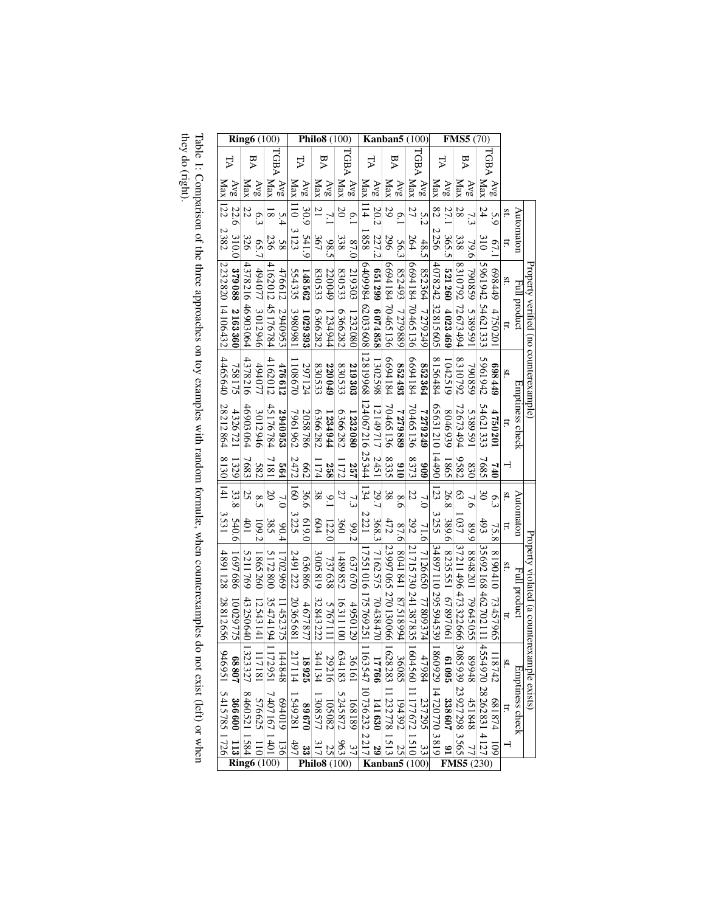| <b>Ring6</b> (100)                      |                    |                |                                                     |                    | Philo8 (100)                                                                                                                                                                                                                                                                                                                                                                                                   |         |          |                |          |              |                     |                  | Kanban5                            |                   | (100)                |                  |                                                                                  |                  |                 |                | $\overline{\textbf{F}}\textbf{MSS}$ (70) |         |     |                 |                                             |
|-----------------------------------------|--------------------|----------------|-----------------------------------------------------|--------------------|----------------------------------------------------------------------------------------------------------------------------------------------------------------------------------------------------------------------------------------------------------------------------------------------------------------------------------------------------------------------------------------------------------------|---------|----------|----------------|----------|--------------|---------------------|------------------|------------------------------------|-------------------|----------------------|------------------|----------------------------------------------------------------------------------|------------------|-----------------|----------------|------------------------------------------|---------|-----|-----------------|---------------------------------------------|
| ΡĀ                                      | ₽A                 |                | TGBA                                                |                    | À                                                                                                                                                                                                                                                                                                                                                                                                              |         | ₽A       |                |          | TGBA         |                     | FA               | ΑA                                 |                   |                      | TGBA             |                                                                                  | Α                | ₽A              |                | TGBA                                     |         |     |                 |                                             |
| Max 122<br>$AV_{\mathcal{S}}$           | Max                | AVg            | Max                                                 | $AV_{\mathcal{S}}$ | <b>Max</b>                                                                                                                                                                                                                                                                                                                                                                                                     | AVg     | Max      | AVg            | Max      | $\Delta v_S$ | Max                 | AVg              | $\frac{\Delta v_{\rm g}}{\rm Max}$ |                   | Max                  | 8 <sub>N</sub>   | Max                                                                              | AVB              | Max             | AVg            | Max                                      | AVg     |     |                 |                                             |
| 22.6                                    | 22                 | 6.3            | ≅                                                   | 5.4                | $\overline{5}$                                                                                                                                                                                                                                                                                                                                                                                                 | 30.9    |          | 7.1            | $\Omega$ | 6.1          | $\overline{114}$    | 20.2             | 29                                 | 6.1               | 27                   | 5.2              | 82                                                                               | 27.1             | 28              | 7.3            | 24                                       | 5.9     | Sť. | Automaton       |                                             |
| 2382<br>310.0                           | 326                | 65.7           | 236                                                 | 85                 | 3123                                                                                                                                                                                                                                                                                                                                                                                                           | 541.9   | 367      | 98.5           | 338      | 87.0         | 858                 | 227.2            | 296                                | 56.3              | 264                  | 48.5             | 2256                                                                             | 365.5            | 338             | 79.6           | $rac{310}{2}$                            | 67.     | Ę   |                 |                                             |
|                                         | 4378216 46903064   |                | 4162012                                             | 476612             | 554335                                                                                                                                                                                                                                                                                                                                                                                                         | 148562  | 830533   | 220049         | 830533   | 219303       |                     |                  |                                    |                   |                      |                  | 4 078 242 32 815 605                                                             |                  |                 |                | 596194254621333                          | 6449    | St. |                 |                                             |
| 2232820 14106432<br>379088 2163360      |                    | 494077 3012946 | 45176784                                            | 2940953            | 1390981                                                                                                                                                                                                                                                                                                                                                                                                        | 1029393 | 6366282  | 1234944        | 6366282  | 1232080      | 640998462033608     | 651299 6074858   | 669418470465136                    | 852493 7279889    | 669418470465136      | 852364 7279249   |                                                                                  | $521260$ 4023469 | 831079272673494 | 790859 5389591 |                                          | 4750201 | Ë.  | Full product    | Property verified (no counterexample)       |
| 4465640<br>758175                       | 4378216            | 49407          | 4162012                                             | 476612             | 108670                                                                                                                                                                                                                                                                                                                                                                                                         | 297124  | 830533   | 220049         | 830533   | 219303       | 12819968            | 1302598          | 6694184                            | 852493            | 6694184              | 852364           | 8156484                                                                          | 1042519          | 8310792         | 790859         | 5961942                                  | 677869  | sť. |                 |                                             |
| 28212864<br>4326721                     | 46903064           | 3012946        | 45176784                                            | 2940953            | 7961962                                                                                                                                                                                                                                                                                                                                                                                                        | 2058786 | 6366282  | 1234944        | 6366282  | 1232080      | 124 067216 25344    | 12149717         | 70465136                           | 688627            | 70465136             | 7279249          | 062121014490                                                                     | 8046939          | 72673494        | 5389591        | 54621333                                 | 4750201 | Ë.  | Emptiness check |                                             |
| 1329                                    | 7683               | 582            | 1817                                                | 564                | 2472                                                                                                                                                                                                                                                                                                                                                                                                           | 662     | 174      | 258            | 112      | 257          |                     | 2451             | 8335                               | 016               | 8373                 | 606              |                                                                                  | 5981             | 282             | 830            | 7685                                     | 94      |     |                 |                                             |
| $8130$   141 3531<br>33.8               | 25                 | 8.5            |                                                     |                    | $\overline{5}$                                                                                                                                                                                                                                                                                                                                                                                                 | 36.6    | 38       | $\frac{9}{10}$ | 27       | 7.3          | 134                 | 29.7             | 38                                 | 8.6               | 22                   | 7.0              | $\overline{23}$                                                                  | 26.8             | 63              | 7.6            | $\infty$                                 | 6.3     | Sť. |                 |                                             |
| 540.6                                   | 401                | 109.2          | 385                                                 | 60.4               | 3225                                                                                                                                                                                                                                                                                                                                                                                                           | 0.619   | 604      | 122.0          | 360      | 266          | 2221                | 368.3            | 472                                | 87.6              | 292                  | 71.6             | 3255                                                                             | 389.6            | 1037            | 668            | 66t                                      | 75.8    | Ħ   | Automaton       |                                             |
| 4891128<br>9897686                      | 5211769            | 865260         | 5172800                                             | 702969             | 2491222                                                                                                                                                                                                                                                                                                                                                                                                        | 636866  | 3005819  | 737638         | 1489852  | 637670       |                     |                  |                                    |                   |                      |                  |                                                                                  |                  |                 |                |                                          |         |     |                 |                                             |
| 28812656<br>10029775                    | 43250640 1         | 12543141       | 35474194                                            | 1452375            | 20365681                                                                                                                                                                                                                                                                                                                                                                                                       | 4677877 | 32843222 | 5767111        | 16311100 | 4950129      | 17551016175769251 1 | 7162575 70438470 | 23 997 065 270 130 066 1           | 46681241 87518994 | 21715730 241387835 1 | 7126650 77809374 | 3489711029559453911                                                              |                  |                 |                |                                          |         |     |                 | Property violated (a counterexample exists) |
|                                         | 323327             |                |                                                     | 144848             | $18925$<br>217114                                                                                                                                                                                                                                                                                                                                                                                              |         |          |                |          |              |                     |                  |                                    |                   |                      |                  |                                                                                  |                  |                 |                |                                          |         |     |                 |                                             |
| 88807 366600 113<br>946951 5415785 1726 |                    |                | 1172951 7407167<br>117181 576625<br>1323327 8460521 |                    | $\begin{array}{r@{\hspace{1em}}c@{\hspace{1em}}c@{\hspace{1em}}c@{\hspace{1em}}c@{\hspace{1em}}c@{\hspace{1em}}c@{\hspace{1em}}c@{\hspace{1em}}c@{\hspace{1em}}c@{\hspace{1em}}c@{\hspace{1em}}c@{\hspace{1em}}c@{\hspace{1em}}c@{\hspace{1em}}c@{\hspace{1em}}c@{\hspace{1em}}c@{\hspace{1em}}c@{\hspace{1em}}c@{\hspace{1em}}c@{\hspace{1em}}c@{\hspace{1em}}c@{\hspace{1em}}c@{\hspace{1em}}c@{\hspace{1em$ |         |          |                |          |              |                     |                  |                                    |                   |                      |                  | $\begin{array}{ll} 618\,8\,0770771\ 8607\ 19 \\ 193866 & 398667\ 19 \end{array}$ |                  |                 |                |                                          |         |     |                 |                                             |
|                                         | $\frac{1401}{110}$ |                |                                                     | $\frac{136}{26}$   | $33$<br>$497$                                                                                                                                                                                                                                                                                                                                                                                                  |         |          |                |          |              |                     |                  |                                    |                   |                      |                  |                                                                                  |                  |                 |                |                                          |         |     |                 |                                             |

Table 1: Comparison of the three approaches on toy examples with random formulæ, when counterexamples do not exist (left) or when<br>they do (right). they do (right). Table 1: Comparison of the three approaches on toy examples with random formulæ, when counterexamples do not exist (left) or when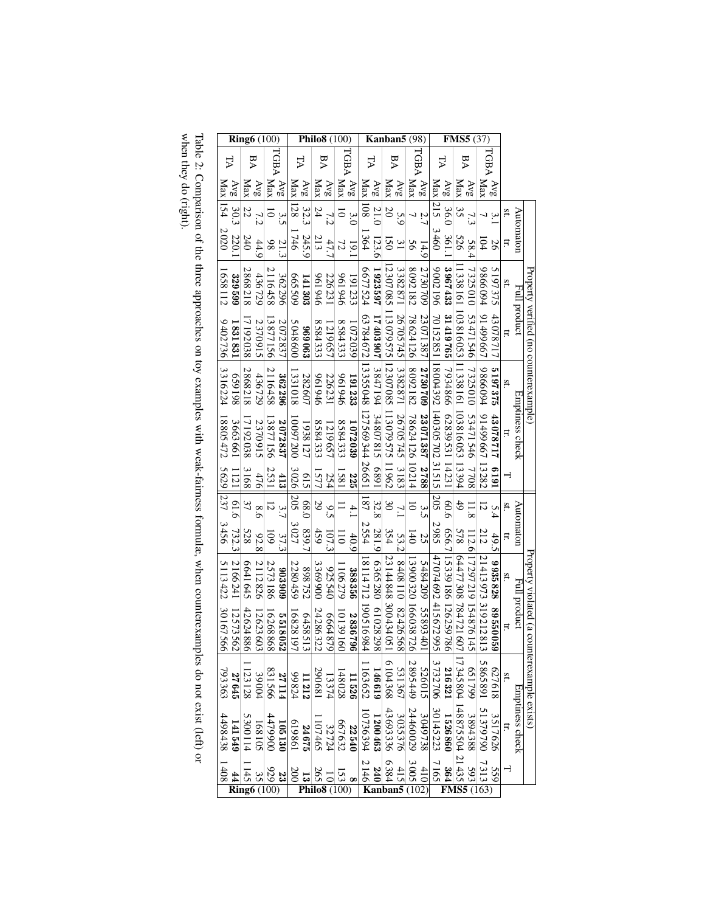|                                             |     |             | (37)               |                                | <b>FMS5</b>                                         |                    |                                                                                          |                  | (98)                                                                     | Kanban5            |                                                      |                           |                                                                                                  | Philo8<br>100) |          |        |                                                                                        |                |           |                 | Ring $6(100)$   |         |                                                                       |            |          |  |
|---------------------------------------------|-----|-------------|--------------------|--------------------------------|-----------------------------------------------------|--------------------|------------------------------------------------------------------------------------------|------------------|--------------------------------------------------------------------------|--------------------|------------------------------------------------------|---------------------------|--------------------------------------------------------------------------------------------------|----------------|----------|--------|----------------------------------------------------------------------------------------|----------------|-----------|-----------------|-----------------|---------|-----------------------------------------------------------------------|------------|----------|--|
|                                             |     | <b>TGBA</b> |                    | ΑA                             |                                                     |                    | ₹                                                                                        | TGBA             |                                                                          | ÞA                 |                                                      | À                         |                                                                                                  | TGBA           |          | ÞA     |                                                                                        | À              |           | rGBA            |                 |         | ΑA                                                                    | ₽          |          |  |
|                                             |     | Avg         | Max                | $AV_{\mathcal{S}}$             | Max                                                 | Avg                | Max                                                                                      | AVg              | Max                                                                      | $AV_{\mathcal{S}}$ | Max                                                  | AVg                       | Max                                                                                              | $\Delta v_S$   | Max      | AVg    | Max                                                                                    | AVg            | Max       | Avg             | Max             | AVg     | Max                                                                   | Avg        | Max      |  |
|                                             | St. | 3.          |                    |                                | 3S                                                  | 36.0               | $\overline{215}$                                                                         | ΣÎ               |                                                                          | 5.9                | $\overline{50}$                                      | 21.0                      | $\overline{108}$                                                                                 | 3.0            | 5        |        | 24                                                                                     | 32.3           | <b>28</b> | 3.5             |                 |         | 22                                                                    | 30.3       | 154      |  |
| Automaton                                   | Ħ.  | 56          | l Ö4               | 58.4                           | 526                                                 | 361.               | 3460                                                                                     | 14.9             | 95                                                                       | $\overline{31}$    | 50                                                   | 123.6                     | 364                                                                                              | 19.1           | 77       | 47.    | 213                                                                                    | 245.9          | $-746$    |                 | 86              | 44.9    | 240                                                                   | 220.       | 2020     |  |
| Full product                                | St. | 197375      | 9866094            | 7325010                        |                                                     | 3967433            | 9612006                                                                                  | 2730709          | 8092182                                                                  | 3382871            |                                                      | 1923597                   | 6677524                                                                                          | 191233         | 9t6196   | 226231 | 941946                                                                                 | 141303         | 605 SO9   | 362296          | 116458          | 436729  | 868218                                                                | 329599     | GS8112   |  |
| Property verified (no counterexample)       | Ħ   | 17870371    | 1499667            | 53471546 7325010 53471546 7708 | 1 338 161 103 816 053 11 338 160 103 816 053 13 394 | 31419765           |                                                                                          | 23071387         | 78624126                                                                 | 26705745           | 12 307 085 113 079 575 12 307 085 113 079 575 11 962 |                           | 63784672                                                                                         | 1072039        | 8584333  | 219657 | 8584333                                                                                | 89063          | 5048600   | 2072837         | 13877156        | 2370915 | 7192038                                                               | 1831831    | 9402736  |  |
|                                             | St. | 5197375     | 9866094            |                                |                                                     | 7934866            |                                                                                          | 2730709          | 8092182                                                                  | 13382871           |                                                      | 17403907 3847194 34807815 | 13355048 127569344                                                                               | 191233         | 946196   | 226231 | 946196                                                                                 | 282607         | 1331018   | 362296          | 2116458         | 436729  | 2868218                                                               | 861659     | 3316224  |  |
| Emptiness check                             | Ħ   | 43078717    | 1499667            |                                |                                                     | 62839531 14231     | 70 152 851 18 004 392 140 305 702 31 515                                                 | 23 071 387 2788  | 78624126 10214                                                           | 26705745           |                                                      |                           |                                                                                                  | 1072039        | 8584333  | 219657 | 8584333                                                                                | 1938127        | 10097200  | 2072837         | 13877156        | 2370915 | 7192038                                                               | 3663661    | 18805472 |  |
|                                             |     | 1619        | 13282              |                                |                                                     |                    |                                                                                          |                  |                                                                          | 3183               |                                                      | 1689                      | 26651                                                                                            | 225            | 1581     | 254    | 577                                                                                    | 615            | 3026      | 413             | 2531            | 476     | 3168                                                                  | 1121       | 5629     |  |
|                                             | St. | 5.4         | 5                  |                                | 49                                                  | 90.6               | 205                                                                                      | 3.5              | $\overline{\circ}$                                                       | $\mathcal{L}$      | $\mathfrak{g}_0$                                     | 32.8                      | $187\,$                                                                                          | $\ddot{=}$     |          | 9.3    | 29                                                                                     | 68.0           | 205       | 3.7             |                 | 8.6     | 37                                                                    |            | 237      |  |
| Automaton                                   | Ħ   | 49.5        | 212                | 12.6                           | 578                                                 | 656.7              | 2985                                                                                     | 25               | $\bar{5}$                                                                | 53.2               | 354                                                  | 281.9                     | 2554                                                                                             | 40.9           | $\Xi$    | 107.3  | 459                                                                                    | 839.7          | 3027      | 37.3            | <u>s</u>        | 92.8    | <b>528</b>                                                            | 61.6 732.3 | 3456     |  |
|                                             | St. | 9935828     | 21413973 319212813 | 17297219 154876145             | 64477308784721607                                   |                    | 47074692 415672995                                                                       |                  |                                                                          |                    | 123144848 30043405                                   | 6365280                   | 18114712                                                                                         | 388356         | 106279   | 925540 | 3369900                                                                                | 898752         | 2280459   | 806806          | 2573186         | 2112826 | 6641645                                                               | 2166241    | 5113422  |  |
| Full product                                | Ħ.  | 89550059    |                    |                                |                                                     | 15339186 126259786 |                                                                                          | 5484209 55893401 | 13900320 166038726                                                       | 8408110 82426568   |                                                      | 61028298                  | 190516984                                                                                        | 2836796        | 10139160 | 664879 | 24286322                                                                               | 6458513        | 16828197  | 5518052         | 16268868        | 2623603 | 42 624 886                                                            | 12573562   | 30167566 |  |
| Property violated (a counterexample exists) | Sť. | 627618      | 5865891            |                                |                                                     | 216321             | 3732706                                                                                  |                  | 526015<br>2895449                                                        |                    |                                                      |                           | $\begin{array}{c} 531367 \\ 6104368 \\ 146619 \\ 1163652 \end{array}$                            |                |          |        | $\begin{array}{rl} & 11\,526 \\ & 148\,028 \\ & 13\,374 \\ & 290\,681 \end{array}$     | 11212<br>99824 |           | 27114<br>831566 |                 | 39004   | 1123128                                                               | 27645      | 793363   |  |
| <b>Emptiness check</b>                      | Ë.  | 3517626     | 51379790           | 021799 3884 48875555555555555  |                                                     |                    | $\begin{array}{r} 1526\,860 \\ 30145\,223 \\ \hline 3049\,738 \\ 24460\,029 \end{array}$ |                  |                                                                          |                    |                                                      |                           | $\begin{array}{rl} & 3\,035\,376 \\ & 43\,693\,336 \\ & 1\,200\,463 \\ & 10736\,394 \end{array}$ |                |          |        | $\begin{array}{c} 225540 \\ 667632 \\ 1107465 \\ 24675 \\ 24675 \\ 619861 \end{array}$ |                |           |                 |                 |         | $\begin{array}{r} 105130 \\ 4479900 \\ 168105 \\ 5300114 \end{array}$ | 141549     | 4498438  |  |
|                                             |     | 559         | 7313               | 5931                           | $-21435$                                            |                    | $\frac{364}{7165}$                                                                       |                  | $\begin{array}{r} 3005 \\ 4105 \\ \hline 240 \\ 240 \\ 2146 \end{array}$ |                    |                                                      |                           |                                                                                                  |                |          |        | $\frac{1250}{100}$<br>$\frac{261}{100}$                                                |                |           |                 | $\frac{28}{32}$ |         | 145<br>$\overline{\text{Ring6}}$ (100)                                | 44         | 1408     |  |
|                                             |     |             |                    |                                |                                                     |                    |                                                                                          |                  |                                                                          |                    |                                                      |                           |                                                                                                  |                |          |        |                                                                                        |                |           |                 |                 |         |                                                                       |            |          |  |

Table 2: Comparison of the three approaches on toy examples with weak-fairness formulæ, when counterexamples do not exist (left) or<br>when they do (right). when they do (right). Table 2: Comparison of the three approaches on toy examples with weak-fairness formulæ, when counterexamples do not exist (left) or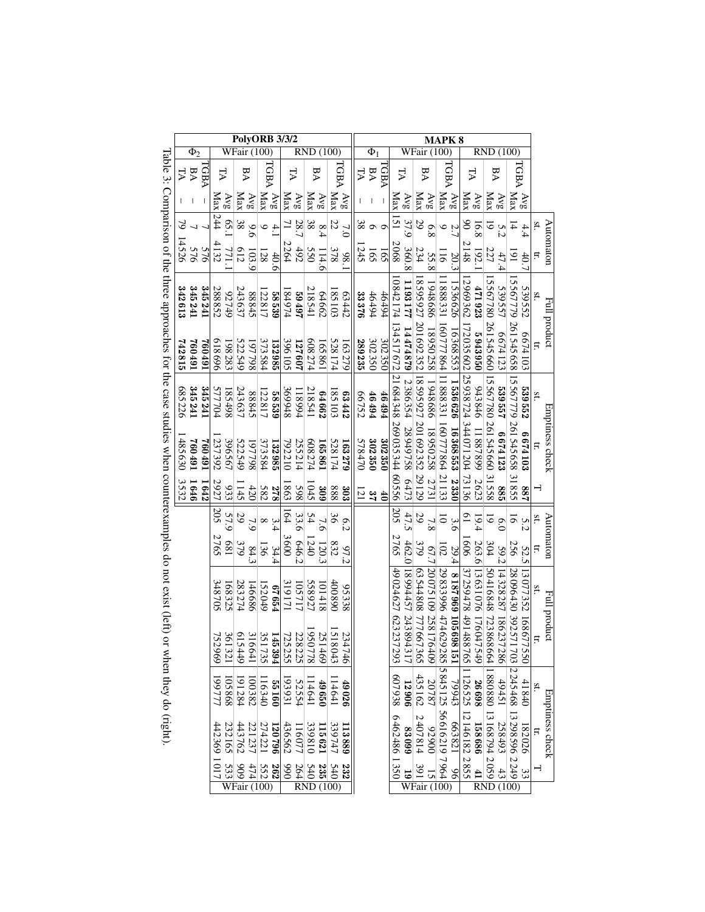|                                                                                                              |        |           |         | <b>PolvORB 3/3/2</b> |        |                                    |            |                                       |             |                  |            |                  |                    |                             | <b>MAPK8</b>        |        |                              |        |                          |                      |                                        |                 |                                 |               |                            |                 |                                |                 |                             |                      |               |                 |
|--------------------------------------------------------------------------------------------------------------|--------|-----------|---------|----------------------|--------|------------------------------------|------------|---------------------------------------|-------------|------------------|------------|------------------|--------------------|-----------------------------|---------------------|--------|------------------------------|--------|--------------------------|----------------------|----------------------------------------|-----------------|---------------------------------|---------------|----------------------------|-----------------|--------------------------------|-----------------|-----------------------------|----------------------|---------------|-----------------|
|                                                                                                              |        | $\Phi_2$  |         | WFair                |        |                                    |            |                                       |             | RND<br>(100)     |            |                  |                    |                             |                     |        | $\overline{\Phi}_1$          |        |                          |                      | <b>WFair</b> (100)                     |                 |                                 |               |                            |                 | <b>RND</b> (100)               |                 |                             |                      |               |                 |
|                                                                                                              |        | <b>BA</b> | ΓGBA    | Ę                    |        | ΡA                                 |            | TGBA                                  |             | ₽                |            | ΑA               |                    |                             | TGBA                | À      | ΑA                           | V8D.   | ₽                        |                      | ΑA                                     |                 |                                 | TGBA          | Α                          |                 | ΑA                             |                 | TGBA                        |                      |               |                 |
|                                                                                                              |        |           |         | Xax                  | AVg    | $\frac{\Delta v_{\rm g}}{\rm Max}$ |            | Max                                   | $\sqrt{vg}$ | Max              | AVg        | Max              | $\Delta {\rm v}$ g | Max                         | AVg                 |        |                              |        | Max                      | $\bar{\mathrm{Ave}}$ | $\frac{\Delta v_{g}}{\rm Max}$         |                 | $\frac{\text{Avg}}{\text{Max}}$ |               | Max                        | $\sqrt{MS}$     | $\frac{\Delta v_{g}}{\rm Max}$ |                 | Max                         | $\Delta v_S$         |               |                 |
|                                                                                                              | 2      |           |         | 244                  | 65.    | $38\,$                             | 9.6        | $\circ$                               | $\ddot{ }$  |                  | 28.        | $\frac{8.4}{38}$ |                    | 22                          | 7.0                 |        | 8000                         |        | $\bar{5}$                | 37.9                 | 29                                     | 8.8             | α in                            |               | $\delta$                   | 16.8            | $\overline{\circ}$             | 5.2             | $\overline{4}$              | 4.4                  | sť.           |                 |
|                                                                                                              | 14526  | 576       | 576     | 132                  | 771.   | 612                                | 103.9      | <b>28</b>                             | 40.6        | 2264             | 492        | 550              | 114.6              | 378                         | 86                  | 245    | 165                          | 165    | 2068                     | 360.8                | 234                                    | 55.8            | $\overline{5}$                  | 20.3          | 148                        | 192.            | 227                            | 47.4            | $\overline{6}$              | 40.7                 | Ħ             | Automaton       |
|                                                                                                              | 342613 | 345241    | 345241  | 288852               | 92749  | 243637                             | 88845      | 122817                                | 58539       | 184974           | 26769      | 218541           | 64662              | 185103                      | 63442               | 33376  | 46494                        | 46494  | 10842174                 | 1193177              | 18595927                               | 989868          | 1888331                         | 536626        |                            | 471923          |                                | 539557          |                             | 539552               |               | Full product    |
|                                                                                                              | 742815 | 167092    | 167092  | 969819               | 198283 | 522549                             | 867798     | 373584                                | 132985      | 396105           | 127607     | 608274           | 165861             | 528174                      | 163279              | 289235 | 302350                       | 302350 | 134517672                | 14474879             | 701692352                              | 18950258        | 160777864                       | 16368553      | 12969362 172035602         | 5943950         | 15 567 780 261 545 660         | 6674123         | 5 567 779 261 545 658       | 6674103              |               |                 |
|                                                                                                              | 685226 | 345241    | 345241  | 577704               | 185498 | 243637                             | 88845      | 122817                                | 58539       | 369948           | 118994     | 218541           | 64662              | 185103                      | 63442               | 66752  | $164494$                     | 46494  |                          | 2386354              |                                        | 1948686         |                                 | 1536626       |                            | 943846          |                                | 539557          | 15567779 261545658          | 539552               | Sť.           |                 |
|                                                                                                              | 485630 | 167 092   | 167 092 | 237392               | 396567 | 522549                             | 867798     | 373584                                | 132985      | 792210           | 255214     | 608274           | 165861             | 528174                      | 163279              | 578470 | 302350                       | 302350 | 21684348 269035344 60556 | 28949758             | 18595927 201692352 29129               | 18950258        | 11888331 160777864 21133        | 16368553 2330 | 25938724 344071204 73136   | 11887899        | 15567780 261545660 31558       | 6674123         |                             | 6674103              |               | Emptiness check |
|                                                                                                              | 3532   | 1646      | $-642$  | 2927                 | 933    | 145                                | 420        | 582                                   | 823         | 863              | 865        | 045              | 309                | 888                         | 303                 |        | $\frac{4}{5}$ $\frac{3}{12}$ |        |                          | 6473                 |                                        | 2731            |                                 |               |                            | 2623            |                                | 985             | 31855                       | 88                   |               |                 |
|                                                                                                              |        |           |         | 205                  | 57.9   | 29                                 |            | $\infty$                              | 3.4         | $\overline{164}$ | 33.6       | 54               | 7.6                | $\mathfrak{g}_{\mathbb{C}}$ | 6.2                 |        |                              |        | 205                      | 47.5                 | 29                                     | 7.8             | $\overline{\circ}$              | 3.6           | $\overline{0}$             | 19.4            | 5                              | 0.0             | $\overline{5}$              | 5.2                  | st            |                 |
|                                                                                                              |        |           |         | N<br>765             | 189    | 379                                | 84.3       | 136                                   | 34.4        | 3600             | 646.2      | $-240$           | 120.3              | 832                         | 97.2                |        |                              |        | 2765                     | 462.0                | 379                                    | 67.7            | $\overline{102}$                | <u>29.4</u>   | 909                        | 263.6           | 304                            | 59.2            | 256                         | 52.5                 | Ħ             | Automaton       |
| Table 3: Comparison of the three approaches for the case studies when counterexamples do not exist (left) or |        |           |         | 348705               | 168325 | 283274                             | 146686     | 152049                                | F99 19      | 19171            | 105717     | 558927           | 101418             | 100890                      | 95338               |        |                              |        | 49024627623237           | 18994457 243894      | 63544808777667                         | 20075109 258176 | 29833996 474 629                | 8699016962818 | 37259478 491488            | 13631076 176047 | 50416848 723868                | 14328287 186237 | 28096430 392571             | 13077352             |               | Full product    |
|                                                                                                              |        |           |         | 752<br>696           | 321    | $\frac{615}{361}$<br>449           | 316<br>641 | 351<br>735                            | 145<br>394  | 725<br>255       | 228<br>225 | 056<br>778       | 251469             | <b>S18</b><br>$^{243}$      | 234<br>$\tilde{46}$ |        |                              |        | 293                      | 317                  | 365                                    | 60 <sup>†</sup> | 285                             | 151           |                            | <b>949</b>      | 664                            | 286             |                             | 168677<br><b>550</b> |               |                 |
| when they do (right).                                                                                        |        |           |         | 1777                 | 105868 | 100382                             |            | 116340                                | 55160       | 52.554<br>193931 |            | 114641           | <b>19650</b>       | 114641                      | $49\,026$           |        |                              |        | 607938                   | 12906                | 435162                                 | 20787           | 5845125                         | 79943         |                            | 26698           |                                | 19451           |                             | 41840                | $\mathbf{st}$ |                 |
|                                                                                                              |        |           |         | 442369               | 232165 | 443762                             | 221237     | 274221                                | 962021      | 436562           | 116077     | 339810           | 115621             | 339747                      | 113889              |        |                              |        | 6462486 1350             | 66088                | 2407814                                | 00676           | 56616219 7964                   | 128831        | 765 126 525 12146 182 2855 | 158686          | 1880880 13168794 2059          | 258493          | 703 2245 468 13298 596 2249 | 182026               | $\Xi$         | Emptiness check |
|                                                                                                              |        |           |         | 1017                 | 533    | 606                                | 474        | 552<br>$\overline{\text{WFair}(100)}$ | 262         | 066              | 264        | 540              | 235                | 540<br>RND(100)             | 232                 |        |                              |        |                          | $\overline{6}$       | 191<br>$\overline{\text{WFair }(100)}$ | 51              |                                 | 96            |                            | $\mathbf{1}$    | <b>RND</b>                     | 43              | (100)                       | 33                   |               |                 |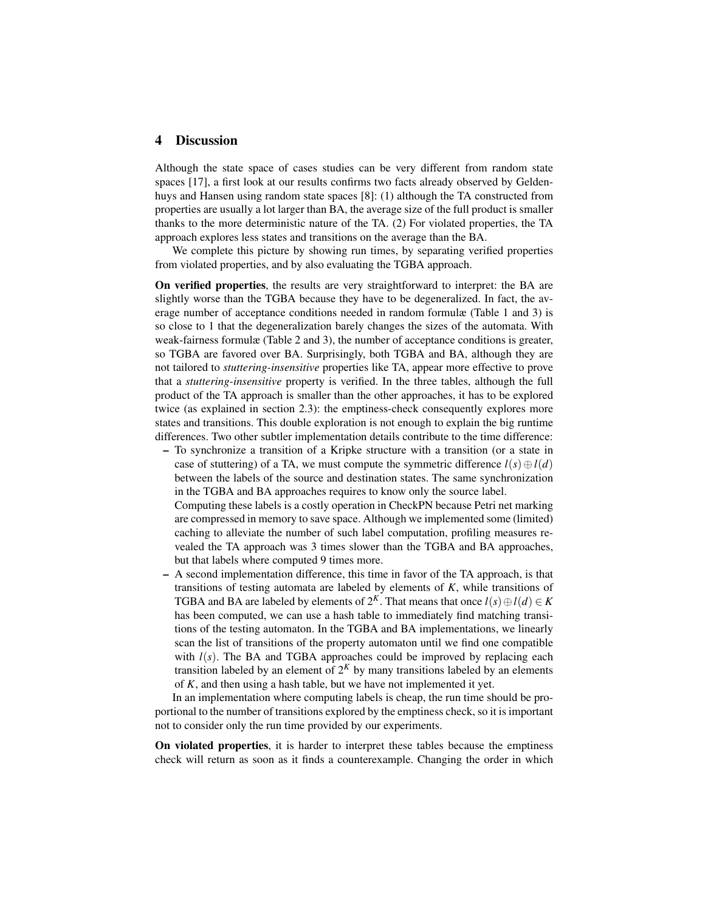## 4 Discussion

Although the state space of cases studies can be very different from random state spaces [17], a first look at our results confirms two facts already observed by Geldenhuys and Hansen using random state spaces [8]: (1) although the TA constructed from properties are usually a lot larger than BA, the average size of the full product is smaller thanks to the more deterministic nature of the TA. (2) For violated properties, the TA approach explores less states and transitions on the average than the BA.

We complete this picture by showing run times, by separating verified properties from violated properties, and by also evaluating the TGBA approach.

On verified properties, the results are very straightforward to interpret: the BA are slightly worse than the TGBA because they have to be degeneralized. In fact, the average number of acceptance conditions needed in random formulæ (Table 1 and 3) is so close to 1 that the degeneralization barely changes the sizes of the automata. With weak-fairness formulæ (Table 2 and 3), the number of acceptance conditions is greater, so TGBA are favored over BA. Surprisingly, both TGBA and BA, although they are not tailored to *stuttering-insensitive* properties like TA, appear more effective to prove that a *stuttering-insensitive* property is verified. In the three tables, although the full product of the TA approach is smaller than the other approaches, it has to be explored twice (as explained in section 2.3): the emptiness-check consequently explores more states and transitions. This double exploration is not enough to explain the big runtime differences. Two other subtler implementation details contribute to the time difference:

– To synchronize a transition of a Kripke structure with a transition (or a state in case of stuttering) of a TA, we must compute the symmetric difference  $l(s) \oplus l(d)$ between the labels of the source and destination states. The same synchronization in the TGBA and BA approaches requires to know only the source label.

Computing these labels is a costly operation in CheckPN because Petri net marking are compressed in memory to save space. Although we implemented some (limited) caching to alleviate the number of such label computation, profiling measures revealed the TA approach was 3 times slower than the TGBA and BA approaches, but that labels where computed 9 times more.

– A second implementation difference, this time in favor of the TA approach, is that transitions of testing automata are labeled by elements of *K*, while transitions of TGBA and BA are labeled by elements of  $2^K$ . That means that once  $l(s) \oplus l(d) \in K$ has been computed, we can use a hash table to immediately find matching transitions of the testing automaton. In the TGBA and BA implementations, we linearly scan the list of transitions of the property automaton until we find one compatible with  $l(s)$ . The BA and TGBA approaches could be improved by replacing each transition labeled by an element of  $2<sup>K</sup>$  by many transitions labeled by an elements of *K*, and then using a hash table, but we have not implemented it yet.

In an implementation where computing labels is cheap, the run time should be proportional to the number of transitions explored by the emptiness check, so it is important not to consider only the run time provided by our experiments.

On violated properties, it is harder to interpret these tables because the emptiness check will return as soon as it finds a counterexample. Changing the order in which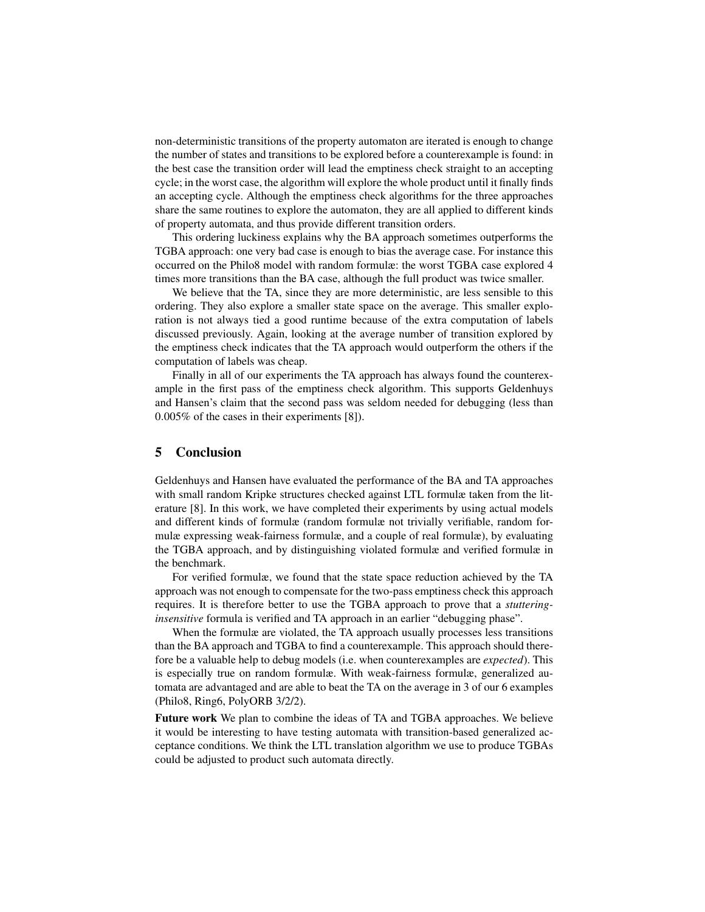non-deterministic transitions of the property automaton are iterated is enough to change the number of states and transitions to be explored before a counterexample is found: in the best case the transition order will lead the emptiness check straight to an accepting cycle; in the worst case, the algorithm will explore the whole product until it finally finds an accepting cycle. Although the emptiness check algorithms for the three approaches share the same routines to explore the automaton, they are all applied to different kinds of property automata, and thus provide different transition orders.

This ordering luckiness explains why the BA approach sometimes outperforms the TGBA approach: one very bad case is enough to bias the average case. For instance this occurred on the Philo8 model with random formulæ: the worst TGBA case explored 4 times more transitions than the BA case, although the full product was twice smaller.

We believe that the TA, since they are more deterministic, are less sensible to this ordering. They also explore a smaller state space on the average. This smaller exploration is not always tied a good runtime because of the extra computation of labels discussed previously. Again, looking at the average number of transition explored by the emptiness check indicates that the TA approach would outperform the others if the computation of labels was cheap.

Finally in all of our experiments the TA approach has always found the counterexample in the first pass of the emptiness check algorithm. This supports Geldenhuys and Hansen's claim that the second pass was seldom needed for debugging (less than 0.005% of the cases in their experiments [8]).

## 5 Conclusion

Geldenhuys and Hansen have evaluated the performance of the BA and TA approaches with small random Kripke structures checked against LTL formulæ taken from the literature [8]. In this work, we have completed their experiments by using actual models and different kinds of formulæ (random formulæ not trivially verifiable, random formulæ expressing weak-fairness formulæ, and a couple of real formulæ), by evaluating the TGBA approach, and by distinguishing violated formulæ and verified formulæ in the benchmark.

For verified formulæ, we found that the state space reduction achieved by the TA approach was not enough to compensate for the two-pass emptiness check this approach requires. It is therefore better to use the TGBA approach to prove that a *stutteringinsensitive* formula is verified and TA approach in an earlier "debugging phase".

When the formulæ are violated, the TA approach usually processes less transitions than the BA approach and TGBA to find a counterexample. This approach should therefore be a valuable help to debug models (i.e. when counterexamples are *expected*). This is especially true on random formulæ. With weak-fairness formulæ, generalized automata are advantaged and are able to beat the TA on the average in 3 of our 6 examples (Philo8, Ring6, PolyORB 3/2/2).

Future work We plan to combine the ideas of TA and TGBA approaches. We believe it would be interesting to have testing automata with transition-based generalized acceptance conditions. We think the LTL translation algorithm we use to produce TGBAs could be adjusted to product such automata directly.